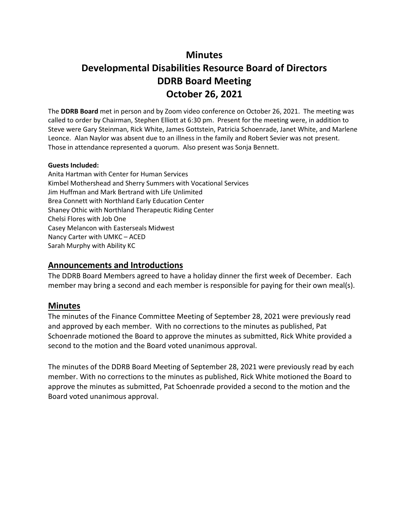# **Minutes**

# **Developmental Disabilities Resource Board of Directors DDRB Board Meeting October 26, 2021**

The **DDRB Board** met in person and by Zoom video conference on October 26, 2021. The meeting was called to order by Chairman, Stephen Elliott at 6:30 pm. Present for the meeting were, in addition to Steve were Gary Steinman, Rick White, James Gottstein, Patricia Schoenrade, Janet White, and Marlene Leonce. Alan Naylor was absent due to an illness in the family and Robert Sevier was not present. Those in attendance represented a quorum. Also present was Sonja Bennett.

#### **Guests Included:**

Anita Hartman with Center for Human Services Kimbel Mothershead and Sherry Summers with Vocational Services Jim Huffman and Mark Bertrand with Life Unlimited Brea Connett with Northland Early Education Center Shaney Othic with Northland Therapeutic Riding Center Chelsi Flores with Job One Casey Melancon with Easterseals Midwest Nancy Carter with UMKC – ACED Sarah Murphy with Ability KC

## **Announcements and Introductions**

The DDRB Board Members agreed to have a holiday dinner the first week of December. Each member may bring a second and each member is responsible for paying for their own meal(s).

# **Minutes**

The minutes of the Finance Committee Meeting of September 28, 2021 were previously read and approved by each member. With no corrections to the minutes as published, Pat Schoenrade motioned the Board to approve the minutes as submitted, Rick White provided a second to the motion and the Board voted unanimous approval.

The minutes of the DDRB Board Meeting of September 28, 2021 were previously read by each member. With no corrections to the minutes as published, Rick White motioned the Board to approve the minutes as submitted, Pat Schoenrade provided a second to the motion and the Board voted unanimous approval.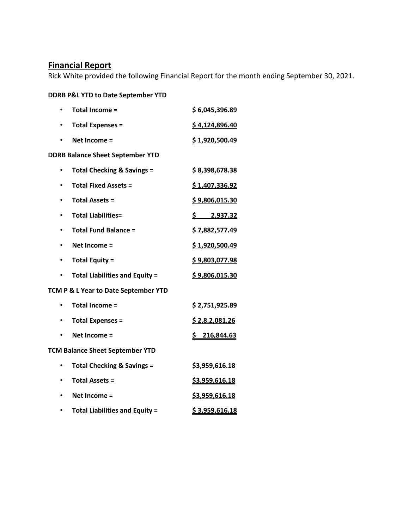# **Financial Report**

Rick White provided the following Financial Report for the month ending September 30, 2021.

# **DDRB P&L YTD to Date September YTD**

| ٠                                       | <b>Total Income =</b>                 | \$6,045,396.89        |  |  |  |
|-----------------------------------------|---------------------------------------|-----------------------|--|--|--|
| ٠                                       | <b>Total Expenses =</b>               | \$4,124,896.40        |  |  |  |
|                                         | Net Income =                          | \$1,920,500.49        |  |  |  |
| <b>DDRB Balance Sheet September YTD</b> |                                       |                       |  |  |  |
|                                         | <b>Total Checking &amp; Savings =</b> | \$8,398,678.38        |  |  |  |
|                                         | <b>Total Fixed Assets =</b>           | <u>\$1,407,336.92</u> |  |  |  |
|                                         | <b>Total Assets =</b>                 | \$9,806,015.30        |  |  |  |
|                                         | <b>Total Liabilities=</b>             | \$<br>2,937.32        |  |  |  |
|                                         | <b>Total Fund Balance =</b>           | \$7,882,577.49        |  |  |  |
| ٠                                       | Net Income =                          | \$1,920,500.49        |  |  |  |
| ٠                                       | <b>Total Equity =</b>                 | <u>\$9,803,077.98</u> |  |  |  |
|                                         | <b>Total Liabilities and Equity =</b> | \$9,806,015.30        |  |  |  |
| TCM P & L Year to Date September YTD    |                                       |                       |  |  |  |
|                                         | <b>Total Income =</b>                 | \$2,751,925.89        |  |  |  |
|                                         | <b>Total Expenses =</b>               | \$2,8.2,081.26        |  |  |  |
|                                         | Net Income =                          | \$216,844.63          |  |  |  |
| <b>TCM Balance Sheet September YTD</b>  |                                       |                       |  |  |  |
|                                         | <b>Total Checking &amp; Savings =</b> | \$3,959,616.18        |  |  |  |
|                                         | <b>Total Assets =</b>                 | \$3,959,616.18        |  |  |  |
|                                         | Net Income =                          | \$3,959,616.18        |  |  |  |
|                                         | <b>Total Liabilities and Equity =</b> | \$3,959,616.18        |  |  |  |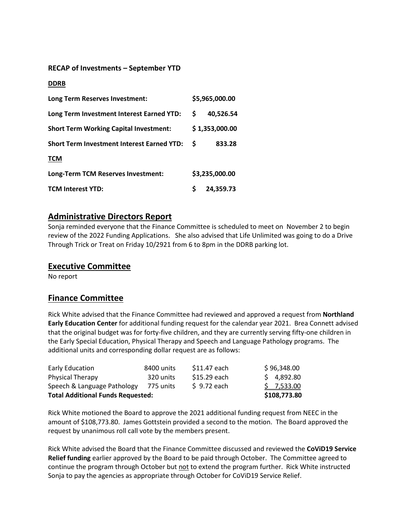#### **RECAP of Investments – September YTD**

#### **DDRB**

| Long Term Reserves Investment:                    |    | \$5,965,000.00 |
|---------------------------------------------------|----|----------------|
| Long Term Investment Interest Earned YTD:         | S. | 40,526.54      |
| <b>Short Term Working Capital Investment:</b>     |    | \$1,353,000.00 |
| <b>Short Term Investment Interest Earned YTD:</b> | S  | 833.28         |
| <b>TCM</b>                                        |    |                |
| Long-Term TCM Reserves Investment:                |    | \$3,235,000.00 |
| <b>TCM Interest YTD:</b>                          |    | 24.359.73      |

## **Administrative Directors Report**

Sonja reminded everyone that the Finance Committee is scheduled to meet on November 2 to begin review of the 2022 Funding Applications. She also advised that Life Unlimited was going to do a Drive Through Trick or Treat on Friday 10/2921 from 6 to 8pm in the DDRB parking lot.

#### **Executive Committee**

No report

## **Finance Committee**

Rick White advised that the Finance Committee had reviewed and approved a request from **Northland Early Education Center** for additional funding request for the calendar year 2021. Brea Connett advised that the original budget was for forty-five children, and they are currently serving fifty-one children in the Early Special Education, Physical Therapy and Speech and Language Pathology programs. The additional units and corresponding dollar request are as follows:

| <b>Total Additional Funds Requested:</b> | \$108,773.80 |              |             |
|------------------------------------------|--------------|--------------|-------------|
| Speech & Language Pathology              | 775 units    | \$9.72 each  | \$7,533.00  |
| <b>Physical Therapy</b>                  | 320 units    | \$15.29 each | \$4,892.80  |
| Early Education                          | 8400 units   | \$11.47 each | \$96,348.00 |

Rick White motioned the Board to approve the 2021 additional funding request from NEEC in the amount of \$108,773.80. James Gottstein provided a second to the motion. The Board approved the request by unanimous roll call vote by the members present.

Rick White advised the Board that the Finance Committee discussed and reviewed the **CoViD19 Service Relief funding** earlier approved by the Board to be paid through October. The Committee agreed to continue the program through October but not to extend the program further. Rick White instructed Sonja to pay the agencies as appropriate through October for CoViD19 Service Relief.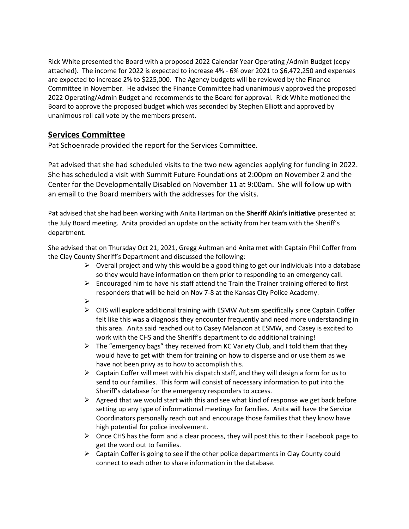Rick White presented the Board with a proposed 2022 Calendar Year Operating /Admin Budget (copy attached). The income for 2022 is expected to increase 4% - 6% over 2021 to \$6,472,250 and expenses are expected to increase 2% to \$225,000. The Agency budgets will be reviewed by the Finance Committee in November. He advised the Finance Committee had unanimously approved the proposed 2022 Operating/Admin Budget and recommends to the Board for approval. Rick White motioned the Board to approve the proposed budget which was seconded by Stephen Elliott and approved by unanimous roll call vote by the members present.

# **Services Committee**

Pat Schoenrade provided the report for the Services Committee.

Pat advised that she had scheduled visits to the two new agencies applying for funding in 2022. She has scheduled a visit with Summit Future Foundations at 2:00pm on November 2 and the Center for the Developmentally Disabled on November 11 at 9:00am. She will follow up with an email to the Board members with the addresses for the visits.

Pat advised that she had been working with Anita Hartman on the **Sheriff Akin's initiative** presented at the July Board meeting. Anita provided an update on the activity from her team with the Sheriff's department.

She advised that on Thursday Oct 21, 2021, Gregg Aultman and Anita met with Captain Phil Coffer from the Clay County Sheriff's Department and discussed the following:

- $\triangleright$  Overall project and why this would be a good thing to get our individuals into a database so they would have information on them prior to responding to an emergency call.
- $\triangleright$  Encouraged him to have his staff attend the Train the Trainer training offered to first responders that will be held on Nov 7-8 at the Kansas City Police Academy.
- $\blacktriangleright$
- $\triangleright$  CHS will explore additional training with ESMW Autism specifically since Captain Coffer felt like this was a diagnosis they encounter frequently and need more understanding in this area. Anita said reached out to Casey Melancon at ESMW, and Casey is excited to work with the CHS and the Sheriff's department to do additional training!
- $\triangleright$  The "emergency bags" they received from KC Variety Club, and I told them that they would have to get with them for training on how to disperse and or use them as we have not been privy as to how to accomplish this.
- $\triangleright$  Captain Coffer will meet with his dispatch staff, and they will design a form for us to send to our families. This form will consist of necessary information to put into the Sheriff's database for the emergency responders to access.
- $\triangleright$  Agreed that we would start with this and see what kind of response we get back before setting up any type of informational meetings for families. Anita will have the Service Coordinators personally reach out and encourage those families that they know have high potential for police involvement.
- $\triangleright$  Once CHS has the form and a clear process, they will post this to their Facebook page to get the word out to families.
- $\triangleright$  Captain Coffer is going to see if the other police departments in Clay County could connect to each other to share information in the database.